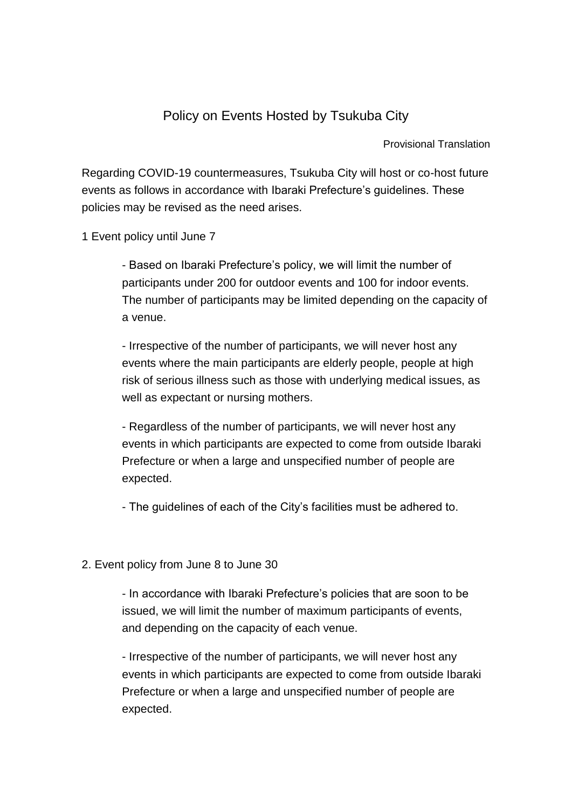## Policy on Events Hosted by Tsukuba City

Provisional Translation

Regarding COVID-19 countermeasures, Tsukuba City will host or co-host future events as follows in accordance with Ibaraki Prefecture's guidelines. These policies may be revised as the need arises.

1 Event policy until June 7

- Based on Ibaraki Prefecture's policy, we will limit the number of participants under 200 for outdoor events and 100 for indoor events. The number of participants may be limited depending on the capacity of a venue.

- Irrespective of the number of participants, we will never host any events where the main participants are elderly people, people at high risk of serious illness such as those with underlying medical issues, as well as expectant or nursing mothers.

- Regardless of the number of participants, we will never host any events in which participants are expected to come from outside Ibaraki Prefecture or when a large and unspecified number of people are expected.

- The guidelines of each of the City's facilities must be adhered to.

2. Event policy from June 8 to June 30

- In accordance with Ibaraki Prefecture's policies that are soon to be issued, we will limit the number of maximum participants of events, and depending on the capacity of each venue.

- Irrespective of the number of participants, we will never host any events in which participants are expected to come from outside Ibaraki Prefecture or when a large and unspecified number of people are expected.